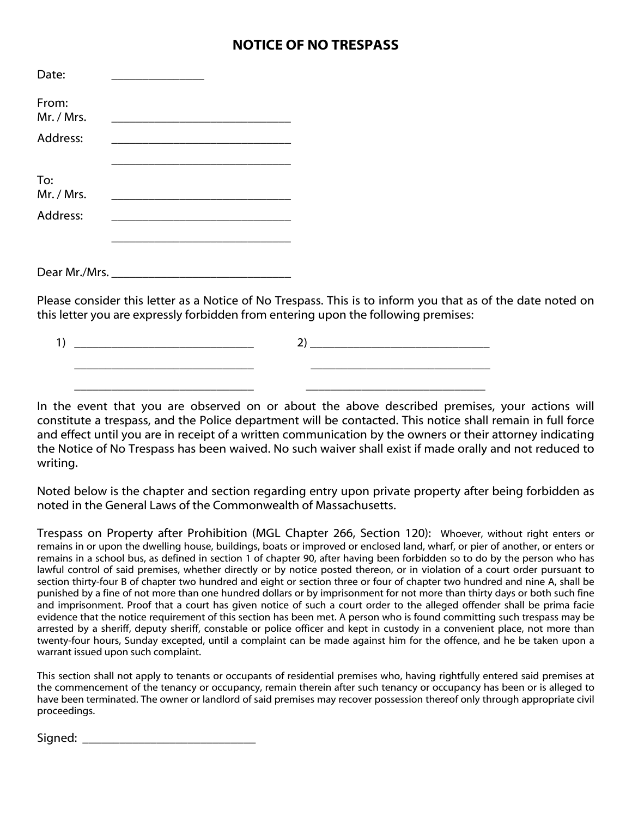## **NOTICE OF NO TRESPASS**

| Date:               |                                                                                                                       |  |
|---------------------|-----------------------------------------------------------------------------------------------------------------------|--|
| From:<br>Mr. / Mrs. | the process of the control of the control of the control of the control of the control of                             |  |
| Address:            |                                                                                                                       |  |
| To:                 | the control of the control of the control of the control of the control of the control of                             |  |
| Mr. / Mrs.          | <u> 1989 - Johann Harry Harry Harry Harry Harry Harry Harry Harry Harry Harry Harry Harry Harry Harry Harry Harry</u> |  |
| Address:            |                                                                                                                       |  |
|                     |                                                                                                                       |  |
|                     | Please consider this letter as a Notice of No Trespas                                                                 |  |

Please consider this letter as a Notice of No Trespass. This is to inform you that as of the date noted on this letter you are expressly forbidden from entering upon the following premises:

 $1)$  2) \_\_\_\_\_\_\_\_\_\_\_\_\_\_\_\_\_\_\_\_\_\_\_\_\_\_\_\_\_ \_\_\_\_\_\_\_\_\_\_\_\_\_\_\_\_\_\_\_\_\_\_\_\_\_\_\_\_\_ \_\_\_\_\_\_\_\_\_\_\_\_\_\_\_\_\_\_\_\_\_\_\_\_\_\_\_\_\_ \_\_\_\_\_\_\_\_\_\_\_\_\_\_\_\_\_\_\_\_\_\_\_\_\_\_\_\_\_

In the event that you are observed on or about the above described premises, your actions will constitute a trespass, and the Police department will be contacted. This notice shall remain in full force and effect until you are in receipt of a written communication by the owners or their attorney indicating the Notice of No Trespass has been waived. No such waiver shall exist if made orally and not reduced to writing.

Noted below is the chapter and section regarding entry upon private property after being forbidden as noted in the General Laws of the Commonwealth of Massachusetts.

Trespass on Property after Prohibition (MGL Chapter 266, Section 120): Whoever, without right enters or remains in or upon the dwelling house, buildings, boats or improved or enclosed land, wharf, or pier of another, or enters or remains in a school bus, as defined in section 1 of chapter 90, after having been forbidden so to do by the person who has lawful control of said premises, whether directly or by notice posted thereon, or in violation of a court order pursuant to section thirty-four B of chapter two hundred and eight or section three or four of chapter two hundred and nine A, shall be punished by a fine of not more than one hundred dollars or by imprisonment for not more than thirty days or both such fine and imprisonment. Proof that a court has given notice of such a court order to the alleged offender shall be prima facie evidence that the notice requirement of this section has been met. A person who is found committing such trespass may be arrested by a sheriff, deputy sheriff, constable or police officer and kept in custody in a convenient place, not more than twenty-four hours, Sunday excepted, until a complaint can be made against him for the offence, and he be taken upon a warrant issued upon such complaint.

This section shall not apply to tenants or occupants of residential premises who, having rightfully entered said premises at the commencement of the tenancy or occupancy, remain therein after such tenancy or occupancy has been or is alleged to have been terminated. The owner or landlord of said premises may recover possession thereof only through appropriate civil proceedings.

Signed: \_\_\_\_\_\_\_\_\_\_\_\_\_\_\_\_\_\_\_\_\_\_\_\_\_\_\_\_